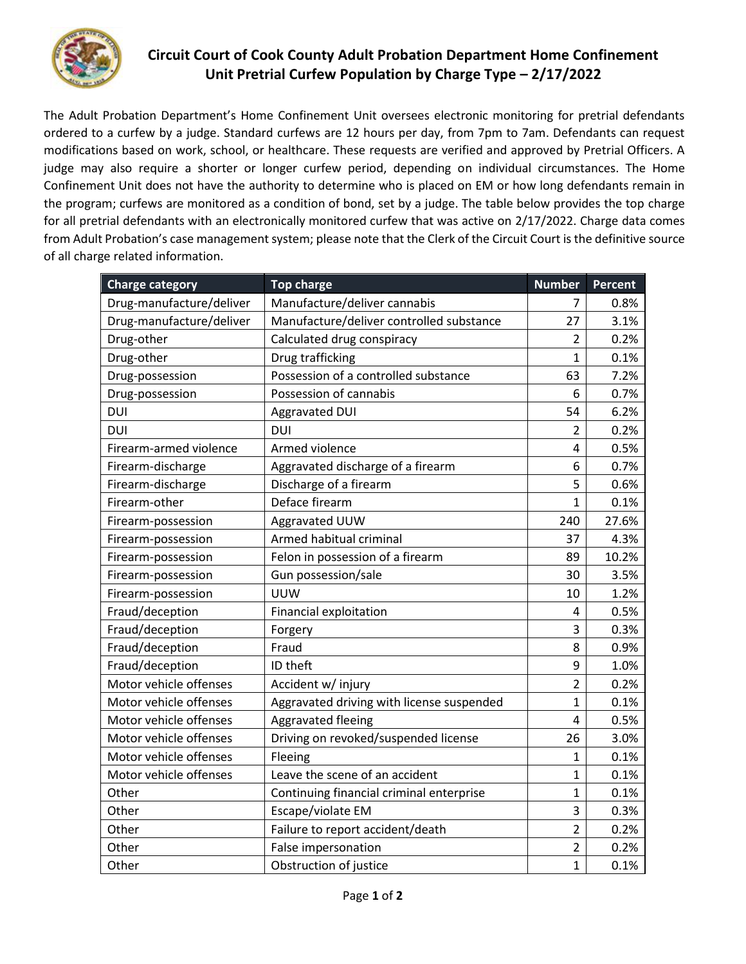

## **Circuit Court of Cook County Adult Probation Department Home Confinement Unit Pretrial Curfew Population by Charge Type – 2/17/2022**

The Adult Probation Department's Home Confinement Unit oversees electronic monitoring for pretrial defendants ordered to a curfew by a judge. Standard curfews are 12 hours per day, from 7pm to 7am. Defendants can request modifications based on work, school, or healthcare. These requests are verified and approved by Pretrial Officers. A judge may also require a shorter or longer curfew period, depending on individual circumstances. The Home Confinement Unit does not have the authority to determine who is placed on EM or how long defendants remain in the program; curfews are monitored as a condition of bond, set by a judge. The table below provides the top charge for all pretrial defendants with an electronically monitored curfew that was active on 2/17/2022. Charge data comes from Adult Probation's case management system; please note that the Clerk of the Circuit Court is the definitive source of all charge related information.

| <b>Charge category</b>   | <b>Top charge</b>                         | <b>Number</b>           | <b>Percent</b> |
|--------------------------|-------------------------------------------|-------------------------|----------------|
| Drug-manufacture/deliver | Manufacture/deliver cannabis              | 7                       | 0.8%           |
| Drug-manufacture/deliver | Manufacture/deliver controlled substance  | 27                      | 3.1%           |
| Drug-other               | Calculated drug conspiracy                | 2                       | 0.2%           |
| Drug-other               | Drug trafficking                          | $\mathbf{1}$            | 0.1%           |
| Drug-possession          | Possession of a controlled substance      | 63                      | 7.2%           |
| Drug-possession          | Possession of cannabis                    | 6                       | 0.7%           |
| <b>DUI</b>               | Aggravated DUI                            | 54                      | 6.2%           |
| <b>DUI</b>               | <b>DUI</b>                                | $\overline{2}$          | 0.2%           |
| Firearm-armed violence   | Armed violence                            | $\overline{4}$          | 0.5%           |
| Firearm-discharge        | Aggravated discharge of a firearm         | 6                       | 0.7%           |
| Firearm-discharge        | Discharge of a firearm                    | 5                       | 0.6%           |
| Firearm-other            | Deface firearm                            | 1                       | 0.1%           |
| Firearm-possession       | Aggravated UUW                            | 240                     | 27.6%          |
| Firearm-possession       | Armed habitual criminal                   | 37                      | 4.3%           |
| Firearm-possession       | Felon in possession of a firearm          | 89                      | 10.2%          |
| Firearm-possession       | Gun possession/sale                       | 30                      | 3.5%           |
| Firearm-possession       | <b>UUW</b>                                | 10                      | 1.2%           |
| Fraud/deception          | <b>Financial exploitation</b>             | 4                       | 0.5%           |
| Fraud/deception          | Forgery                                   | 3                       | 0.3%           |
| Fraud/deception          | Fraud                                     | 8                       | 0.9%           |
| Fraud/deception          | ID theft                                  | 9                       | 1.0%           |
| Motor vehicle offenses   | Accident w/ injury                        | $\overline{2}$          | 0.2%           |
| Motor vehicle offenses   | Aggravated driving with license suspended | $\mathbf{1}$            | 0.1%           |
| Motor vehicle offenses   | Aggravated fleeing                        | $\overline{\mathbf{4}}$ | 0.5%           |
| Motor vehicle offenses   | Driving on revoked/suspended license      | 26                      | 3.0%           |
| Motor vehicle offenses   | Fleeing                                   | $\mathbf 1$             | 0.1%           |
| Motor vehicle offenses   | Leave the scene of an accident            | $\overline{1}$          | 0.1%           |
| Other                    | Continuing financial criminal enterprise  | $\mathbf 1$             | 0.1%           |
| Other                    | Escape/violate EM                         | 3                       | 0.3%           |
| Other                    | Failure to report accident/death          | $\overline{2}$          | 0.2%           |
| Other                    | False impersonation                       | $\overline{2}$          | 0.2%           |
| Other                    | Obstruction of justice                    | $\mathbf{1}$            | 0.1%           |